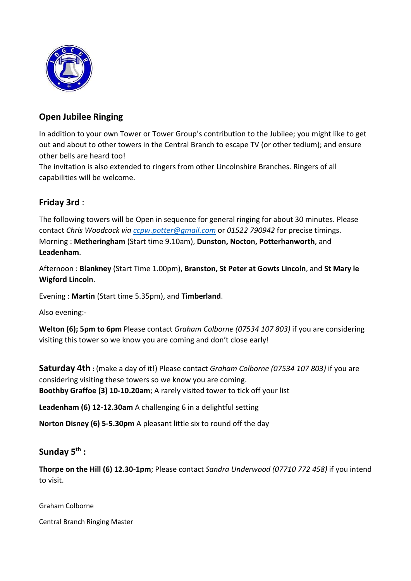

## Open Jubilee Ringing

In addition to your own Tower or Tower Group's contribution to the Jubilee; you might like to get out and about to other towers in the Central Branch to escape TV (or other tedium); and ensure other bells are heard too!

The invitation is also extended to ringers from other Lincolnshire Branches. Ringers of all capabilities will be welcome.

## Friday 3rd :

The following towers will be Open in sequence for general ringing for about 30 minutes. Please contact Chris Woodcock via ccpw.potter@gmail.com or 01522 790942 for precise timings. Morning : Metheringham (Start time 9.10am), Dunston, Nocton, Potterhanworth, and Leadenham.

Afternoon : Blankney (Start Time 1.00pm), Branston, St Peter at Gowts Lincoln, and St Mary le Wigford Lincoln.

Evening : Martin (Start time 5.35pm), and Timberland.

Also evening:-

Welton (6); 5pm to 6pm Please contact Graham Colborne (07534 107 803) if you are considering visiting this tower so we know you are coming and don't close early!

**Saturday 4th** : (make a day of it!) Please contact Graham Colborne (07534 107 803) if you are considering visiting these towers so we know you are coming. Boothby Graffoe (3) 10-10.20am; A rarely visited tower to tick off your list

Leadenham (6) 12-12.30am A challenging 6 in a delightful setting

Norton Disney (6) 5-5.30pm A pleasant little six to round off the day

### Sunday  $5^{th}$ :

Thorpe on the Hill (6) 12.30-1pm; Please contact Sandra Underwood (07710 772 458) if you intend to visit.

Graham Colborne

Central Branch Ringing Master